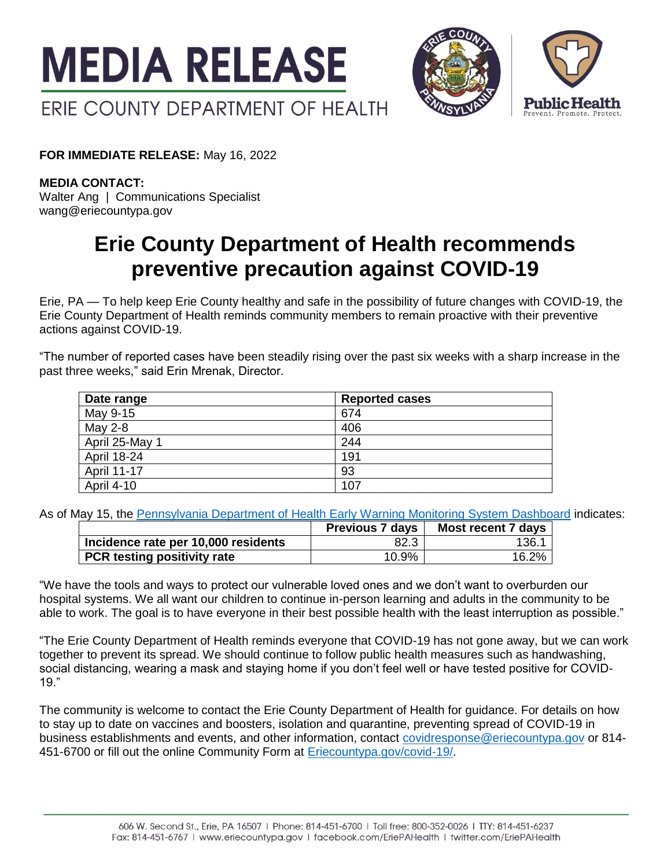



**FOR IMMEDIATE RELEASE:** May 16, 2022

**MEDIA CONTACT:** Walter Ang | Communications Specialist wang@eriecountypa.gov

## **Erie County Department of Health recommends preventive precaution against COVID-19**

Erie, PA — To help keep Erie County healthy and safe in the possibility of future changes with COVID-19, the Erie County Department of Health reminds community members to remain proactive with their preventive actions against COVID-19.

"The number of reported cases have been steadily rising over the past six weeks with a sharp increase in the past three weeks," said Erin Mrenak, Director.

| Date range         | <b>Reported cases</b> |
|--------------------|-----------------------|
| May 9-15           | 674                   |
| May 2-8            | 406                   |
| April 25-May 1     | 244                   |
| April 18-24        | 191                   |
| <b>April 11-17</b> | 93                    |
| <b>April 4-10</b>  | 107                   |

As of May 15, the [Pennsylvania Department of Health Early Warning Monitoring System Dashboard](https://www.health.pa.gov/topics/disease/coronavirus/Pages/Monitoring-Dashboard.aspx) indicates:

|                                     | <b>Previous 7 days</b> | Most recent 7 days |
|-------------------------------------|------------------------|--------------------|
| Incidence rate per 10,000 residents | 82.3                   | 136.1              |
| PCR testing positivity rate         | 10.9%                  | 16.2%              |

"We have the tools and ways to protect our vulnerable loved ones and we don't want to overburden our hospital systems. We all want our children to continue in-person learning and adults in the community to be able to work. The goal is to have everyone in their best possible health with the least interruption as possible."

"The Erie County Department of Health reminds everyone that COVID-19 has not gone away, but we can work together to prevent its spread. We should continue to follow public health measures such as handwashing, social distancing, wearing a mask and staying home if you don't feel well or have tested positive for COVID-19."

The community is welcome to contact the Erie County Department of Health for guidance. For details on how to stay up to date on vaccines and boosters, isolation and quarantine, preventing spread of COVID-19 in business establishments and events, and other information, contact [covidresponse@eriecountypa.gov](mailto:covidresponse@eriecountypa.gov) or 814- 451-6700 or fill out the online Community Form at [Eriecountypa.gov/covid-19/.](https://eriecountypa.gov/covid-19/)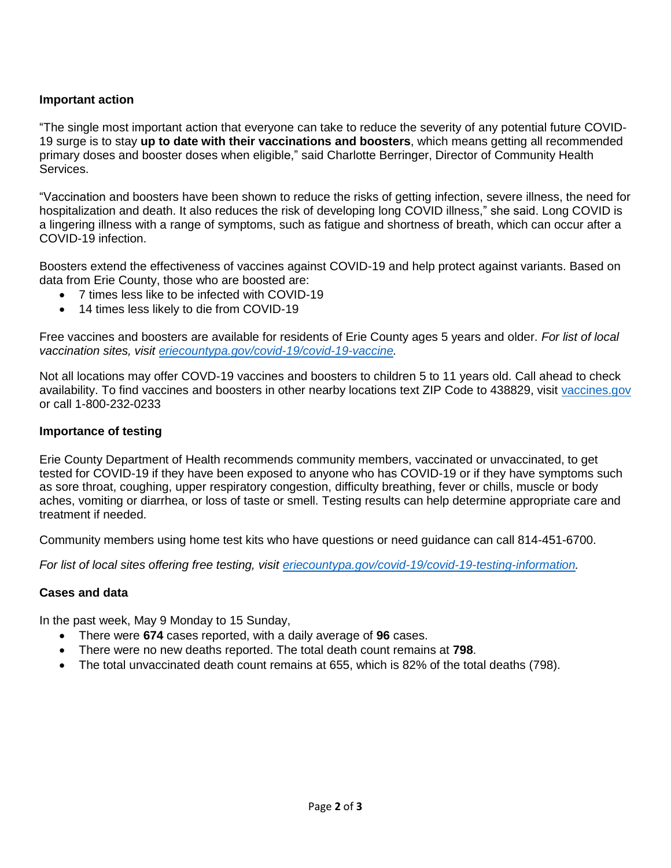## **Important action**

"The single most important action that everyone can take to reduce the severity of any potential future COVID-19 surge is to stay **up to date with their vaccinations and boosters**, which means getting all recommended primary doses and booster doses when eligible," said Charlotte Berringer, Director of Community Health Services.

"Vaccination and boosters have been shown to reduce the risks of getting infection, severe illness, the need for hospitalization and death. It also reduces the risk of developing long COVID illness," she said. Long COVID is a lingering illness with a range of symptoms, such as fatigue and shortness of breath, which can occur after a COVID-19 infection.

Boosters extend the effectiveness of vaccines against COVID-19 and help protect against variants. Based on data from Erie County, those who are boosted are:

- 7 times less like to be infected with COVID-19
- 14 times less likely to die from COVID-19

Free vaccines and boosters are available for residents of Erie County ages 5 years and older. *For list of local vaccination sites, visit [eriecountypa.gov/covid-19/covid-19-vaccine.](https://eriecountypa.gov/covid-19/covid-19-vaccine/)* 

Not all locations may offer COVD-19 vaccines and boosters to children 5 to 11 years old. Call ahead to check availability. To find vaccines and boosters in other nearby locations text ZIP Code to 438829, visit [vaccines.gov](https://www.vaccines.gov/) or call 1-800-232-0233

## **Importance of testing**

Erie County Department of Health recommends community members, vaccinated or unvaccinated, to get tested for COVID-19 if they have been exposed to anyone who has COVID-19 or if they have symptoms such as sore throat, coughing, upper respiratory congestion, difficulty breathing, fever or chills, muscle or body aches, vomiting or diarrhea, or loss of taste or smell. Testing results can help determine appropriate care and treatment if needed.

Community members using home test kits who have questions or need guidance can call 814-451-6700.

*For list of local sites offering free testing, visit [eriecountypa.gov/covid-19/covid-19-testing-information.](https://eriecountypa.gov/covid-19/covid-19-testing-information/)* 

## **Cases and data**

In the past week, May 9 Monday to 15 Sunday,

- There were **674** cases reported, with a daily average of **96** cases.
- There were no new deaths reported. The total death count remains at **798**.
- The total unvaccinated death count remains at 655, which is 82% of the total deaths (798).